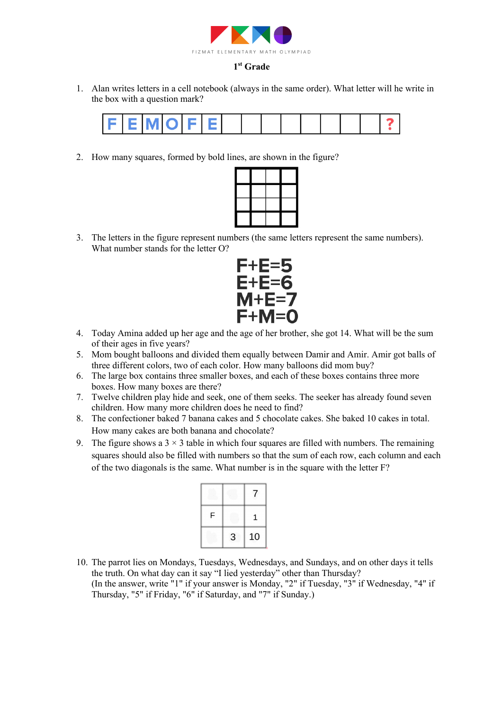

### **1st Grade**

1. Alan writes letters in a cell notebook (always in the same order). What letter will he write in the box with a question mark?



2. How many squares, formed by bold lines, are shown in the figure?



3. The letters in the figure represent numbers (the same letters represent the same numbers). What number stands for the letter O?



- 4. Today Amina added up her age and the age of her brother, she got 14. What will be the sum of their ages in five years?
- 5. Mom bought balloons and divided them equally between Damir and Amir. Amir got balls of three different colors, two of each color. How many balloons did mom buy?
- 6. The large box contains three smaller boxes, and each of these boxes contains three more boxes. How many boxes are there?
- 7. Twelve children play hide and seek, one of them seeks. The seeker has already found seven children. How many more children does he need to find?
- 8. The confectioner baked 7 banana cakes and 5 chocolate cakes. She baked 10 cakes in total. How many cakes are both banana and chocolate?
- 9. The figure shows a  $3 \times 3$  table in which four squares are filled with numbers. The remaining squares should also be filled with numbers so that the sum of each row, each column and each of the two diagonals is the same. What number is in the square with the letter F?

| F |   | 1  |
|---|---|----|
|   | 3 | 10 |

10. The parrot lies on Mondays, Tuesdays, Wednesdays, and Sundays, and on other days it tells the truth. On what day can it say "I lied yesterday" other than Thursday? (In the answer, write "1" if your answer is Monday, "2" if Tuesday, "3" if Wednesday, "4" if Thursday, "5" if Friday, "6" if Saturday, and "7" if Sunday.)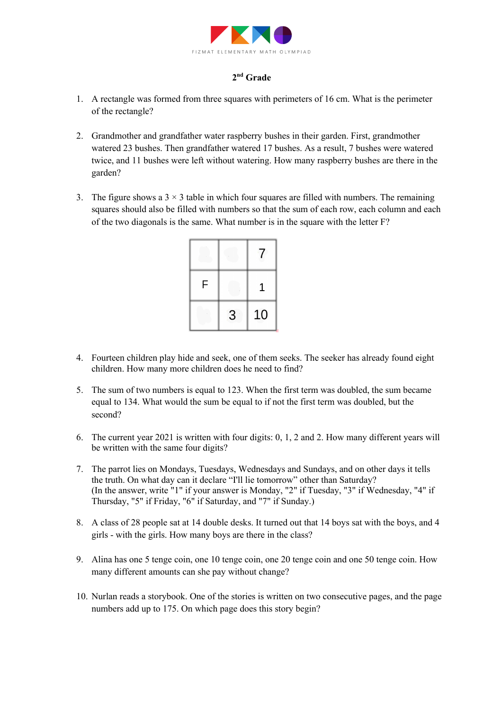

## **2nd Grade**

- 1. A rectangle was formed from three squares with perimeters of 16 cm. What is the perimeter of the rectangle?
- 2. Grandmother and grandfather water raspberry bushes in their garden. First, grandmother watered 23 bushes. Then grandfather watered 17 bushes. As a result, 7 bushes were watered twice, and 11 bushes were left without watering. How many raspberry bushes are there in the garden?
- 3. The figure shows a  $3 \times 3$  table in which four squares are filled with numbers. The remaining squares should also be filled with numbers so that the sum of each row, each column and each of the two diagonals is the same. What number is in the square with the letter F?

| F |   | $\mathbf 1$ |
|---|---|-------------|
|   | 3 | 10          |

- 4. Fourteen children play hide and seek, one of them seeks. The seeker has already found eight children. How many more children does he need to find?
- 5. The sum of two numbers is equal to 123. When the first term was doubled, the sum became equal to 134. What would the sum be equal to if not the first term was doubled, but the second?
- 6. The current year 2021 is written with four digits: 0, 1, 2 and 2. How many different years will be written with the same four digits?
- 7. The parrot lies on Mondays, Tuesdays, Wednesdays and Sundays, and on other days it tells the truth. On what day can it declare "I'll lie tomorrow" other than Saturday? (In the answer, write "1" if your answer is Monday, "2" if Tuesday, "3" if Wednesday, "4" if Thursday, "5" if Friday, "6" if Saturday, and "7" if Sunday.)
- 8. A class of 28 people sat at 14 double desks. It turned out that 14 boys sat with the boys, and 4 girls - with the girls. How many boys are there in the class?
- 9. Alina has one 5 tenge coin, one 10 tenge coin, one 20 tenge coin and one 50 tenge coin. How many different amounts can she pay without change?
- 10. Nurlan reads a storybook. One of the stories is written on two consecutive pages, and the page numbers add up to 175. On which page does this story begin?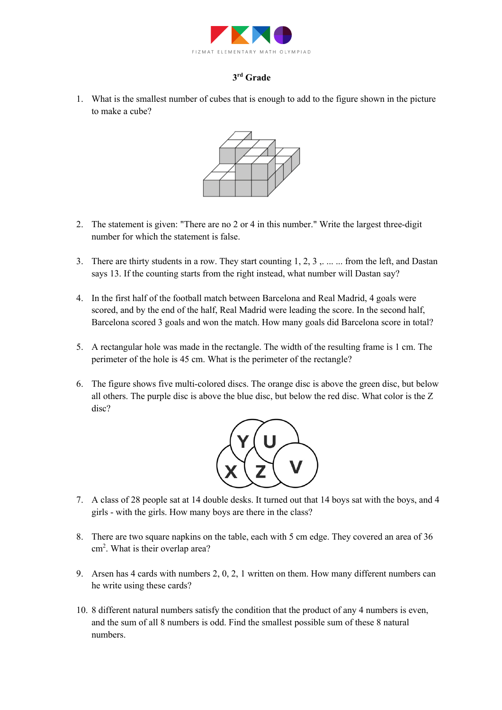

# **3rd Grade**

1. What is the smallest number of cubes that is enough to add to the figure shown in the picture to make a cube?



- 2. The statement is given: "There are no 2 or 4 in this number." Write the largest three-digit number for which the statement is false.
- 3. There are thirty students in a row. They start counting 1, 2, 3, ... ... from the left, and Dastan says 13. If the counting starts from the right instead, what number will Dastan say?
- 4. In the first half of the football match between Barcelona and Real Madrid, 4 goals were scored, and by the end of the half, Real Madrid were leading the score. In the second half, Barcelona scored 3 goals and won the match. How many goals did Barcelona score in total?
- 5. A rectangular hole was made in the rectangle. The width of the resulting frame is 1 cm. The perimeter of the hole is 45 cm. What is the perimeter of the rectangle?
- 6. The figure shows five multi-colored discs. The orange disc is above the green disc, but below all others. The purple disc is above the blue disc, but below the red disc. What color is the Z disc?



- 7. A class of 28 people sat at 14 double desks. It turned out that 14 boys sat with the boys, and 4 girls - with the girls. How many boys are there in the class?
- 8. There are two square napkins on the table, each with 5 cm edge. They covered an area of 36 cm<sup>2</sup>. What is their overlap area?
- 9. Arsen has 4 cards with numbers 2, 0, 2, 1 written on them. How many different numbers can he write using these cards?
- 10. 8 different natural numbers satisfy the condition that the product of any 4 numbers is even, and the sum of all 8 numbers is odd. Find the smallest possible sum of these 8 natural numbers.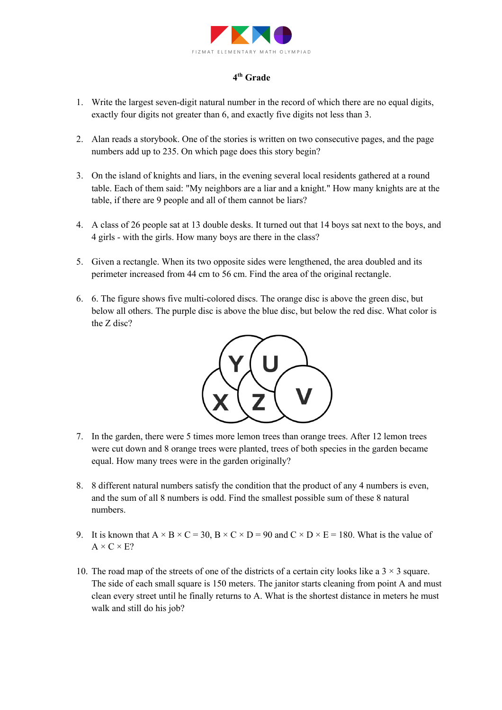

## **4th Grade**

- 1. Write the largest seven-digit natural number in the record of which there are no equal digits, exactly four digits not greater than 6, and exactly five digits not less than 3.
- 2. Alan reads a storybook. One of the stories is written on two consecutive pages, and the page numbers add up to 235. On which page does this story begin?
- 3. On the island of knights and liars, in the evening several local residents gathered at a round table. Each of them said: "My neighbors are a liar and a knight." How many knights are at the table, if there are 9 people and all of them cannot be liars?
- 4. A class of 26 people sat at 13 double desks. It turned out that 14 boys sat next to the boys, and 4 girls - with the girls. How many boys are there in the class?
- 5. Given a rectangle. When its two opposite sides were lengthened, the area doubled and its perimeter increased from 44 cm to 56 cm. Find the area of the original rectangle.
- 6. 6. The figure shows five multi-colored discs. The orange disc is above the green disc, but below all others. The purple disc is above the blue disc, but below the red disc. What color is the Z disc?



- 7. In the garden, there were 5 times more lemon trees than orange trees. After 12 lemon trees were cut down and 8 orange trees were planted, trees of both species in the garden became equal. How many trees were in the garden originally?
- 8. 8 different natural numbers satisfy the condition that the product of any 4 numbers is even, and the sum of all 8 numbers is odd. Find the smallest possible sum of these 8 natural numbers.
- 9. It is known that  $A \times B \times C = 30$ ,  $B \times C \times D = 90$  and  $C \times D \times E = 180$ . What is the value of  $A \times C \times E?$
- 10. The road map of the streets of one of the districts of a certain city looks like a  $3 \times 3$  square. The side of each small square is 150 meters. The janitor starts cleaning from point A and must clean every street until he finally returns to A. What is the shortest distance in meters he must walk and still do his job?